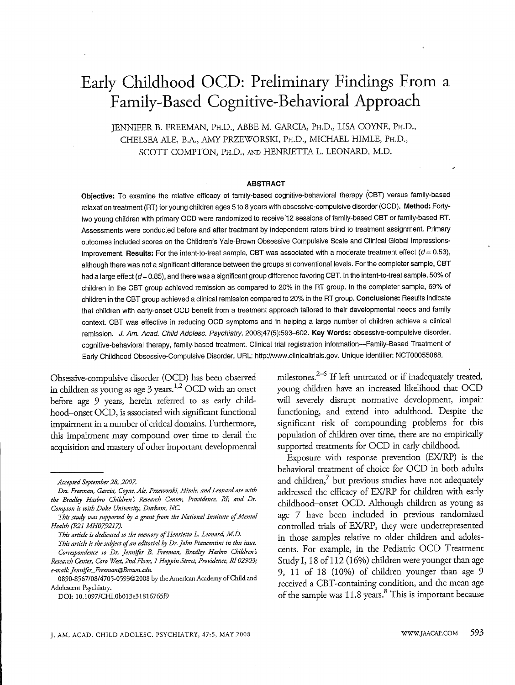# Early Childhood **OCD:** Preliminary Findings From a Family-Based Cognitive-Behavioral Approach

JENNIFER B. FREEMAN, PH.D., ABBE M. GARCIA, PH.D., LISA COYNE, PH.D., CHELSEA ALE, B.A., AMY PRZEWORSKI, PH.D., MICHAEL HIMLE, PH.D., SCOTT COMPTON, PH.D., AND HENRIETTA L. LEONARD, M.D.

#### ABSTRACT

Objective: To examine the relative efficacy of family-based cognitive-behavioral therapy (CBT) versus family-based relaxation treatment (RT) for young children ages 5 to 8 years with obsessive-compulsive disorder (OCD). Method: Fortytwo young children with primary **OCD** were randomized to receive 12 sessions of family-based CBT or family-based RT. Assessments were conducted before and after treatment by independent raters blind to treatment assignment. Primary outcomes included scores on the Children's Yale-Brown Obsessive Compulsive Scale and Clinical Global Impressions-Improvement. Results: For the intent-to-treat sample, CBT was associated with a moderate treatment effect **(d=** 0.53), although there was not a significant difference between the groups at conventional levels. For the completer sample, CBT had a large effect (d= 0.85), and there was a significant group difference favoring CBT. In the intent-to-treat sample, 50% of children in the CBT group achieved remission as compared to 20% in the RT group. In the completer sample, 69% of children in the CBT group achieved a clinical remission compared to 20% in the RT group. Conclusions: Results indicate that children with early-onset OCD benefit from a treatment approach tailored to their developmental needs and family context. CBT was effective in reducing **OCD** symptoms and in helping a large number of children achieve a clinical remission. *J. Am. Acad. Child Adolesc. Psychiatry,* 2008;47(5):593-602. Key Words: obsessive-compulsive disorder, cognitive-behavioral therapy, family-based treatment. Clinical trial registration information-Family-Based Treatment of Early Childhood Obsessive-Compulsive Disorder. URL: http://www.clinicaltrials.gov. Unique identifier: NCT00055068.

Obsessive-compulsive disorder (OCD) has been observed in children as young as age 3 years.1 <sup>2</sup>**OCD** with an onset before age 9 years, herein referred to as early childhood-onset OCD, is associated with significant functional impairment in a number of critical domains. Furthermore, this impairment may compound over time to derail the acquisition and mastery of other important developmental

This article is the subject of an editorial by Dr. John Piancentini in this issue. *Correspondence to Dr. Jennifer B. Freeman, Bradley Hasbro Children's Research Center, Coro West, 2nd Floor, I Hoppin Street, Providence, RI 02903;*  $e$ -mail: Jennifer\_Freeman@Brown.edu.

0890-8567/08/4705-0593@2008 by the American Academy of Child and Adolescent Psychiatry.

DOI: 10.1097/CH1.0b13e31816765f0

milestones. $2-6$  If left untreated or if inadequately treated, young children have an increased likelihood that OCD will severely disrupt normative development, impair functioning, and extend into adulthood. Despite the significant risk of compounding problems for this population of children over time, there are no empirically supported treatments for OCD in early childhood.

Exposure with response prevention (EX/RP) is the behavioral treatment of choice for OCD in both adults and children, $<sup>7</sup>$  but previous studies have not adequately</sup> addressed the efficacy of EX/RP for children with early childhood-onset OCD. Although children as young as age 7 have been included in previous randomized controlled trials of EX/RP, they were underrepresented in those samples relative to older children and adolescents. For example, in the Pediatric OCD Treatment Study I, 18 of 112 (16%) children were younger than age 9, 11 of 18 (10%) of children younger than age 9 received a CBT-containing condition, and the mean age of the sample was  $11.8$  years. $8$  This is important because

*Accepted September 28, 2007.*

*Drs. Freeman, Garcia, Coyne, Ale, Przeworski, Himle, and Leonard are with the Bradley Hasbro Children's Research Center, Providence, R1, and Dr. Compton is with Duke University, Durham, NC.*

*This study was snupported by a grant fiom the National Institute of Mental Health (R21 MHO79217).*

*This article is dedicated to the memory of Henrietta L. Leonard, M.D.*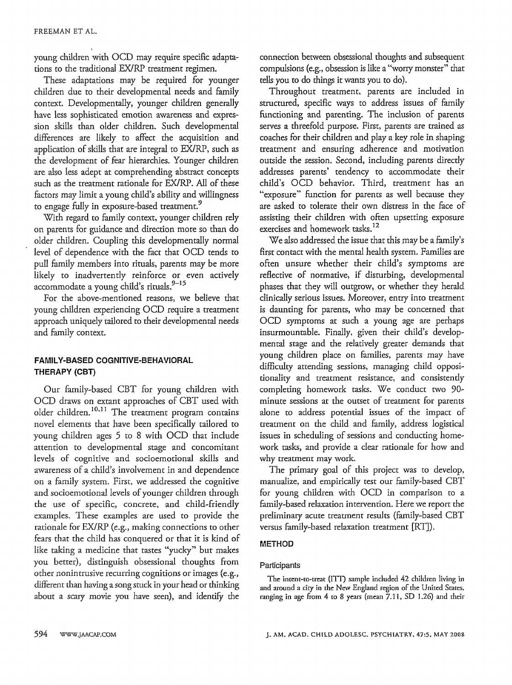young children with OCD may require specific adaptations to the traditional EX/RP treatment regimen.

These adaptations may be required for younger children due to their developmental needs and family context. Developmentally, younger children generally have less sophisticated emotion awareness and expression skills than older children. Such developmental differences are likely to affect the acquisition and application of skills that are integral to EX/RP, such as the development of fear hierarchies. Younger children are also less adept at comprehending abstract concepts such as the treatment rationale for EX/RP. All of these factors may limit a young child's ability and willingness to engage fully in exposure-based treatment.<sup>9</sup>

With regard to family context, younger children rely on parents for guidance and direction more so than do older children. Coupling this developmentally normal level of dependence with the fact that OCD tends to pull family members into rituals, parents may be more likely to inadvertently reinforce or even actively accommodate a young child's rituals.<sup>9-15</sup>

For the above-mentioned reasons, we believe that young children experiencing OCD require a treatment approach uniquely tailored to their developmental needs and family context.

# FAMILY-BASED COGNITIVE-BEHAVIORAL THERAPY (CBT)

Our family-based CBT for young children with OCD draws on extant approaches of CBT used with older children.<sup>10,11</sup> The treatment program contains novel elements that have been specifically tailored to young children ages 5 to 8 with OCD that include attention to developmental stage and concomitant levels of cognitive and socioemotional skills and awareness of a child's involvement in and dependence on a family system. First, we addressed the cognitive and socioemotional levels of younger children through the use of specific, concrete, and child-friendly examples. These examples are used to provide the rationale for EX/RP (e.g., making connections to other fears that the child has conquered or that it is kind of like taking a medicine that tastes "yucky" but makes you better), distinguish obsessional thoughts from other nonintrusive recurring cognitions or images (e.g., different than having a song stuck in your head or thinking about a scary movie you have seen), and identify the connection between obsessional thoughts and subsequent compulsions (e.g., obsession is like a "worry monster" that tells you to do things it wants you to do).

Throughout treatment, parents are included in structured, specific ways to address issues of family functioning and parenting. The inclusion of parents serves a threefold purpose. First, parents are trained as coaches for their children and play a key role in shaping treatment and ensuring adherence and motivation outside the session. Second, including parents directly addresses parents' tendency to accommodate their child's OCD behavior. Third, treatment has an "exposure" function for parents as well because they are asked to tolerate their own distress in the face of assisting their children with often upsetting exposure exercises and homework tasks.<sup>12</sup>

We also addressed the issue that this may be a family's first contact with the mental health system. Families are often unsure whether their child's symptoms are reflective of normative, if disturbing, developmental phases that they will outgrow, or whether they herald clinically serious issues. Moreover, entry into treatment is daunting for parents, who may be concerned that OCD symptoms at such a young age are perhaps insurmountable. Finally, given their child's developmental stage and the relatively greater demands that young children place on families, parents may have difficulty attending sessions, managing child oppositionality and treatment resistance, and consistently completing homework tasks. We conduct two 90 minute sessions at the outset of treatment for parents alone to address potential issues of the impact of treatment on the child and family, address logistical issues in scheduling of sessions and conducting homework tasks, and provide a clear rationale for how and why treatment may work.

The primary goal of this project was to develop, manualize, and empirically test our family-based CBT for young children with OCD in comparison to a family-based relaxation intervention. Here we report the preliminary acute treatment results (family-based CBT versus family-based relaxation treatment [RT]).

## METHOD

## **Participants**

The intent-to-treat (ITT) sample included 42 children living in and around a city in the New England region of the United States, ranging in age from 4 to 8 years (mean 7.11, SD 1.26) and their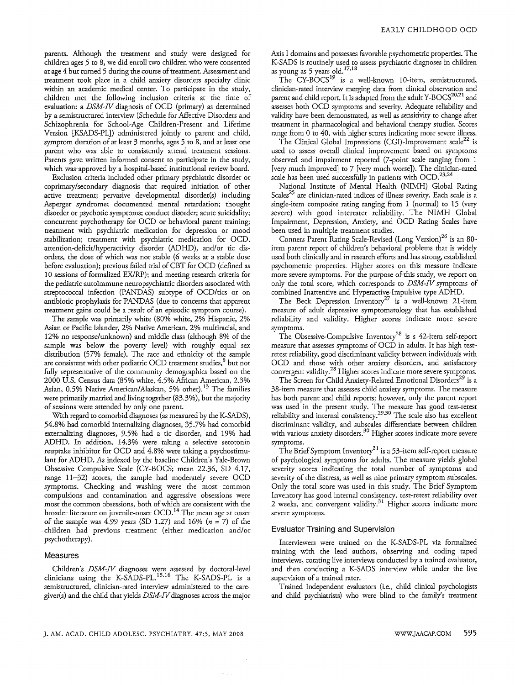parents. Although the treatment and study were designed for children ages 5 to 8, we did enroll two children who were consented at age 4 but turned 5 during the course of treatment. Assessment and treatment took place in a child anxiety disorders specialty clinic within an academic medical center. To participate in the study, children met the following inclusion criteria at the time of evaluation: a *DSM-JV* diagnosis of OCD (primary) as determined by a semistructured interview (Schedule for Affective Disorders and Schizophrenia for School-Age Children-Present and Lifetime Version [KSADS-PL]) administered jointly to parent and child, symptom duration of at least 3 months, ages 5 to 8, and at least one parent who was able to consistently attend treatment sessions. Parents gave written informed consent to participate in the study, which was approved by a hospital-based institutional review board.

Exclusion criteria induded other primary psychiatric disorder or coprimary/secondary diagnosis that required initiation of other active treatment; pervasive developmental disorder(s) including Asperger syndrome; documented mental retardation; thought disorder or psychotic symptoms; conduct disorder; acute suicidality; concurrent psychotherapy for OCD or behavioral parent training; treatment with psychiatric medication for depression or mood stabilization; treatment with psychiatric medication for OCD, attention-deficit/hyperactivity disorder (ADHD), and/or tic disorders, the dose of which was not stable (6 weeks at a stable dose before evaluation); previous fiiled trial of CBT for **OCD** (defined as 10 sessions of formalized EX/RP); and meeting research criteria for the pediatric autoimmune neuropsychiatric disorders associated with streptococcal infection (PANDAS) subtype of OCD/tics or on antibiotic prophylaxis for PANDAS (due to concerns that apparent treatment gains could be a result of an episodic symptom course).

The sample was primarily white (80% white, 2% Hispanic, 2% Asian or Pacific Islander, 2% Native American, 2% multiracial, and 12% no response/unknown) and middle class (although 8% of the sample was below the poverty level) with roughly equal sex distribution (57% female). The race and ethnicity of the sample are consistent with other pediatric OCD treatment studies,<sup>8</sup> but not fully representative of the community demographics based on the 2000 U.S. Census data (85% white, 4.5% African American, 2.3% Asian, 0.5% Native American/Alaskan, 5% other).<sup>13</sup> The families were primarily married and living together (83.3%), but the majority of sessions were attended by only one parent.

With regard to comorbid diagnoses (as measured by the K-SADS), 54.8% had comorbid internalizing diagnoses, 35.7% had comorbid externalizing diagnoses, 9.5% had a tic disorder, and 19% had ADHD. In addition, 14.3% were taking a selective serotonin reuprake inhibitor for OCD and 4.8% were taking a psychostimulant for ADHD. As indexed by the baseline Children's Yale-Brown Obsessive Compulsive Scale (CY-BOCS; mean 22.36, SD 4.17, range 11-32) scores, the sample had moderately severe OCD symptoms. Checking and washing were the most common compulsions and contamination and aggressive obsessions were most the common obsessions, both of which are consistent with the broader literature on juvenile-onset OCD.<sup>14</sup> The mean age at onset of the sample was 4.99 years (SD 1.27) and 16% *(n =* 7) of the children had previous treatment (either medication and/or psychotherapy).

#### Measures

Children's *DSM-JV* diagnoses were assessed by doctoral-level clinicians using the K-SADS-PL.<sup>15,16</sup> The K-SADS-PL is a semistructured, dinician-rated interview administered to the caregiver(s) and the child that yields DSM-IVdiagnoses across the major Axis I domains and possesses favorable psychometric properties. The K-SADS is routinely used to assess psychiatric diagnoses in children as young as 5 years **old.<sup>17</sup> ,18**

The  $CY\text{-}BOCS^{19}$  is a well-known 10-item, semistructured, clinician-rated interview merging data from clinical observation and parent and child report. It is adapted from the adult Y-BOCS $^{20,21}$  and assesses both OCD symptoms and severity. Adequate reliability and validity have been demonstrated, as well as sensitivity to change after treatment in pharmacological and behavioral therapy studies. Scores range from 0 to 40, with higher scores indicating more severe illness.

The Clinical Global Impressions (CGI)-Improvement scale<sup>22</sup> is used to assess overall clinical improvement based on symptoms observed and impairment reported (7-point scale ranging from 1 [very much improved] to 7 [very much worse]). The clinician-rated scale has been used successfully in patients with OCD.<sup>23,24</sup>

National Institute of Mental Health (NIMH) Global Rating Scales<sup>25</sup> are clinician-rated indices of illness severity. Each scale is a single-item composite rating ranging from 1 (normal) to 15 (very severe) with good interrater reliability. The NIMH Global Impairment, Depression, Anxiety, and OCD Rating Scales have been used in multiple treatment studies.

Conners Parent Rating Scale-Revised (Long Version)<sup>26</sup> is an 80item parent report of children's behavioral problems that is widely used both clinically and in research efforts and has strong, established psychometric properties. Higher scores on this measure indicate more severe symptoms. For the purpose of this study, we report on only the total score, which corresponds to *DSM-JV* symptoms of combined Inattentive and Hyperactive-Impulsive type ADHD.

The Beck Depression Inventory<sup>27</sup> is a well-known 21-item measure of adult depressive symptomatology that has established reliability and validity. Higher scores indicate more severe symptoms.

The Obsessive-Compulsive Inventory<sup>28</sup> is s 42-item self-report measure that assesses symptoms of OCD in adults. It has high testretest reliability, good discriminant validity between individuals with OCD and those with other anxiety disorders, and satisfactory convergent validity.28 Higher scores indicate more severe symptoms.

The Screen for Child Anxiety-Related Emotional Disorders<sup>29</sup> is a 38-item measure that assesses child anxiety symptoms. The measure has both parent and child reports; however, only the parent report was used in the present study. The measure has good test-retest<br>reliability and internal consistency.<sup>29,30</sup> The scale also has excellent discriminant validity, and subscales differentiate between children with various anxiety disorders.<sup>30</sup> Higher scores indicate more severe symptoms.

The Brief Symptom Inventory<sup>31</sup> is a 53-item self-report measure of psychological symptoms for adults. The measure yields global severity scores indicating the total number of symptoms and severity of the distress, as well as nine primary symptom subscales. Only the total score was used in this study. The Brief Symptom Inventory has good internal consistency, test-retest reliability over 2 weeks, and convergent validity.<sup>31</sup> Higher scores indicate more severe symptoms.

#### Evaluator Training and Supervision

Interviewers were trained on the K-SADS-PL via formalized training with the lead authors, observing and coding taped interviews, corating live interviews conducted by a trained evaluator, and then conducting a K-SADS interview while under the live supervision of a trained rater.

Trained independent evaluators (i.e., child clinical psychologists and child psychiatrists) who were blind to the family's treatment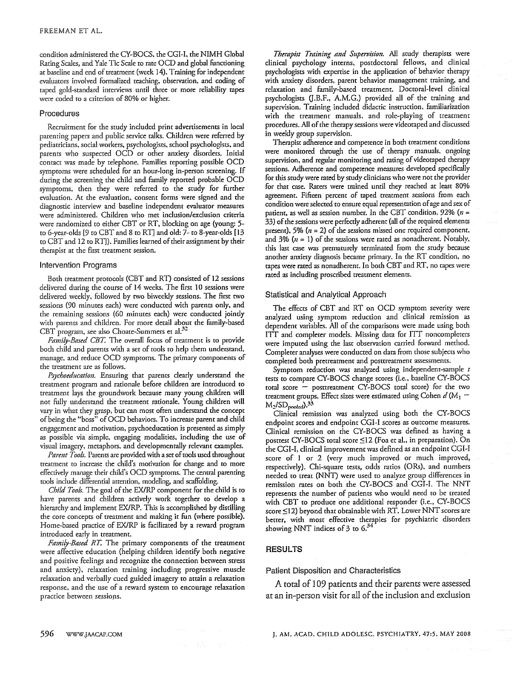condition administered the CY-BOCS, the CGI-I, the NIMH Global Rating Scales, and Yale Tic Scale to rate OCD and global functioning at baseline and end of treatment (week 14). Training for independent evaluators involved formalized teaching, observation, and coding of taped gold-standard interviews until three or more reliability tapes were coded to a criterion of 80% or higher.

#### Procedures

Recruitment for the study included print advertisements in local parenting papers and public service talks. Children were referred by pediatricians, social workers, psychologists, school psychologists, and parents who suspected OCD or other anxiety disorders. Initial contact was made by telephone. Families reporting possible OCD symptoms were scheduled for an hour-long in-person screening. If during the screening the child and family reported probable OCD symptoms, then they were referred to the study for further evaluation. At the evaluation, consent forms were signed and the diagnostic interview and baseline independent evaluator measures were administered. Children who met inclusion/exclusion criteria were randomized to either CBT or RT, blocking on age (young: 5 to 6-year-olds [9 to CBT and 8 to RT] and old: 7- to 8-year-olds [13 to CBT and 12 to RT]). Families learned of their assignment by their therapist at the first treatment session.

#### Intervention Programs

Both treatment protocols (CBT and RT) consisted of 12 sessions delivered during the course of 14 weeks. The first 10 sessions were delivered weekly, followed by two biweekly sessions. The first two sessions (90 minutes each) were conducted with parents only, and the remaining sessions (60 minutes each) were conducted jointly with parents and children. For more detail about the family-based CBT program, see also Choate-Summers et al. $32$ 

*Family-Based CBT.* The overall focus of treatment is to provide both child and parents with a set of tools to help them understand, manage, and reduce OCD symptoms. The primary components of the treatment are as follows.

*Psychoeducation.* Ensuring that parents clearly understand the treatment program and rationale before children are introduced to treatment lays the groundwork because many young children will not fully understand the treatment rationale. Young children will vary in what they grasp, but can most often understand the concept of being the "boss" of OCD behaviors. To increase parent and child engagement and motivation, psychoeducation is presented as simply as possible via simple, engaging modalities, induding the use of visual imagery, metaphors, and developmentally relevant examples.

*Parent Tool.* Parents are provided with a set of tools used throughout treatment to increase the child's motivation for change and to more effectively manage their child's OCD symptoms. The central parenting tools indude differential attention, modeling, and scaffolding.

*Child Tools.* The goal of the EX/RP component for the child is to have parents and children actively work together to develop a hierarchy and implement EX/RP. This is accomplished by distilling the core concepts of treatment and making it fun (where possible). Home-based practice of EX/RP is facilitated by a reward program introduced early in treatment.

*Family-Based RT* The primary components of the treatment were affective education (helping children identify both negative and positive feelings and recognize the connection between stress and anxiety), relaxation training including progressive muscle relaxation and verbally cued guided imagery to attain a relaxation response, and the use of a reward system to encourage relaxation practice between sessions.

*Therapist Training and Supervision.* All study therapists were clinical psychology interns, postdoctoral fellows, and clinical psychologists with expertise in the application of behavior therapy with anxiety disorders, parent behavior management training, and relaxation and family-based treatment. Doctoral-level clinical psychologists (J.B.F., A.M.G.) provided all of the training and supervision. Training included didactic instruction, familiarization with the treatment manuals, and role-playing of treatment procedures. All of the therapy sessions were videotaped and discussed in weekly group supervision.

Therapist adherence and competence in both treatment conditions were monitored through the use of therapy manuals, ongoing supervision, and regular monitoring and rating of videotaped therapy sessions. Adherence and competence measures developed specifically for this study were rated by study clinicians who were not the provider for that ease. Raters were trained until they reached at least 80% agreement. Fifteen percent of taped treatment sessions from each condition were selected to ensure equal representation ofage and sex of patient, as well as session number. In the CBT condition, 92% *(n =* 33) of the sessions were perfectly adherent (all of the required elements present), *5%* (n = 2) of the sessions missed one required component, and  $3%$  ( $n = 1$ ) of the sessions were rated as nonadherent. Notably, this last case was prematurely terminated from the study because another anxiety diagnosis became primary. In the RT condition, no tapes were rated as nonadherent. In both CBT and RT, no tapes were rated as including proscribed treatment elements.

#### Statistical and Analytical Approach

The effects of CBT and RT on OCD symptom severity were analyzed using symptom reduction and clinical remission as dependent variables. All of the comparisons were made using both ITT and completer models. Missing data for ITT noncompleters were imputed using the last observation carried forward method. Completer analyses were conducted on data from those subjects who completed both pretreatment and posttreatment assessments.

Symptom reduction was analyzed using independent-sample t tests to compare CY-BOCS change scores (i.e., baseline CY-BOCS total score  $-$  posttreatment CY-BOCS total score) for the two treatment groups. Effect sizes were estimated using Cohen *d (MI* **-**  $M_2$ /SD<sub>pooled</sub>).<sup>33</sup>

Clinical remission was analyzed using both the CY-BOCS endpoint scores and endpoint CGI-I scores as outcome measures. Clinical remission on the CY-BOCS was defined as having a postrest CY-BOCS total score <12 (Foa et al., in preparation). On the CGI-I, clinical improvement was defined as an endpoint CGI-I score of **I** or 2 (very much improved or much improved, respectively). Chi-square tests, odds ratios (ORs), and numbers needed to treat (NNT) were used to analyze group differences in remission rates on both the CY-BOCS and CGI-I. The NNT represents the number of patients who would need to be treated with CBT to produce one additional responder (i.e., CY-BOCS score <12) beyond that obtainable with RT. Lower NNT scores are better, with most effective therapies for psychiatric disorders showing NNT indices of 3 to  $6.^{34}$ 

#### RESULTS

#### Patient Disposition and Characteristics

A total of 109 patients and their parents were assessed at an in-person visit for all of the inclusion and exclusion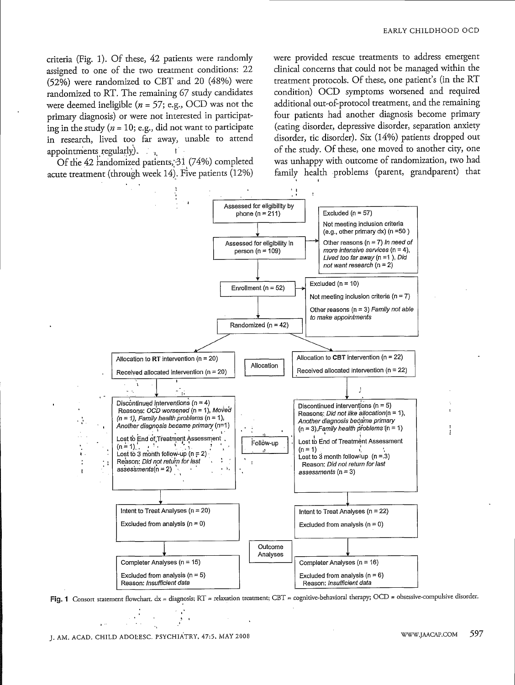criteria (Fig. 1). Of these, 42 patients were randomly assigned to one of the two treatment conditions: 22 (52%) were randomized to CBT and 20 (48%) were randomized to RT. The remaining 67 study candidates were deemed ineligible ( $n = 57$ ; e.g., OCD was not the primary diagnosis) or were not interested in participating in the study ( $n = 10$ ; e.g., did not want to participate in research, lived too far away, unable to attend appointments regularly).  $\mathbb{R}$ ,

Of the 42 randomized patients, 31 (74%) completed acute treatment (through week 14), Five patients (12%) were provided rescue treatments to address emergent clinical concerns that could not be managed within the treatment protocols. Of these, one patient's (in the RT condition) OCD symptoms worsened and required additional out-of-protocol treatment, and the remaining four patients had another diagnosis become primary (eating disorder, depressive disorder, separation anxiety disorder, tic disorder). Six (14%) patients dropped out of the study. Of these, one moved to another city, one was unhappy with outcome of randomization, two had family health problems (parent, grandparent) that **I I**



Fig. 1 Consort statement flowchart. dx = diagnosis; RT = relaxation treatment; CBT = cognitive-behavioral therapy; OCD = obsessive-compulsive disorder.

tI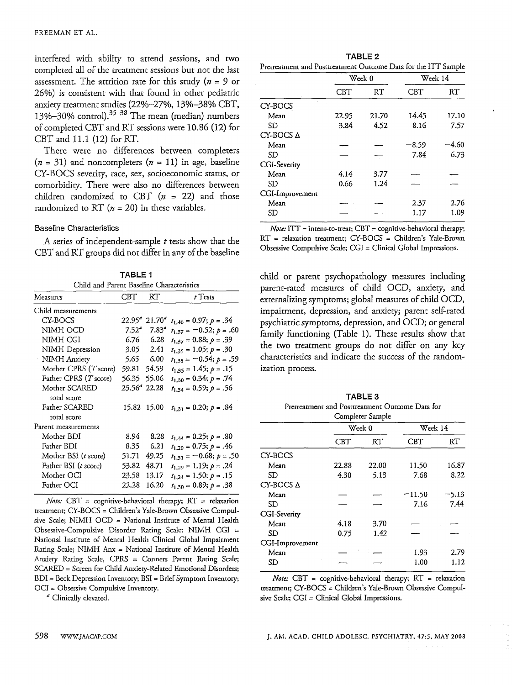interfered with ability to attend sessions, and two completed all of the treatment sessions but not the last assessment. The attrition rate for this study *(n* = 9 or 26%) is consistent with that found in other pediatric anxiety treatment studies (22%-27%, 13%-38% CBT, 13% $-30$ % control).<sup>35-38</sup> The mean (median) numbers of completed CBT and RT sessions were 10.86 (12) for CBT and 11.1 (12) for RT.

There were no differences between completers  $(n = 31)$  and noncompleters  $(n = 11)$  in age, baseline CY-BOCS severity, race, sex, socioeconomic status, or comorbidity. There were also no differences between children randomized to CBT  $(n = 22)$  and those randomized to RT  $(n = 20)$  in these variables.

## Baseline Characteristics

A series of independent-sample  $t$  tests show that the CBT and RT groups did not differ in any of the baseline

| Child and Parent Baseline Characteristics |                          |                                    |                               |  |  |  |  |  |
|-------------------------------------------|--------------------------|------------------------------------|-------------------------------|--|--|--|--|--|
| Measures                                  | CBT                      | RT                                 | r Tests                       |  |  |  |  |  |
| Child measurements                        |                          |                                    |                               |  |  |  |  |  |
| CY-BOCS                                   |                          | $22.95^{\circ}$ 21.70 <sup>o</sup> | $t_{1,40} = 0.97; p = .34$    |  |  |  |  |  |
| NIMH OCD                                  | $7.52^{4}$               | $7.83^{4}$                         | $t_{1,37} = -0.52; p = .60$   |  |  |  |  |  |
| NIMH CGI                                  | 6.76                     | 6.28                               | $t_{1,37} = 0.88; p = .39$    |  |  |  |  |  |
| NIMH Depression                           |                          | $3.05$ 2.41                        | $t_{1,35} = 1.05; p = .30$    |  |  |  |  |  |
| NIMH Anxiety                              | 5.65                     | 6.00                               | $t_{1,35} = -0.54; p = .59$   |  |  |  |  |  |
| Mother CPRS (T score)                     | 59.81                    | 54.59                              | $t_{1,35} = 1.45; p = .15$    |  |  |  |  |  |
| Father CPRS (T score)                     | 56.35 55.06              |                                    | $t_{1,30} = 0.34; p = .74$    |  |  |  |  |  |
| Mother SCARED<br>total score              | 25.56 <sup>4</sup> 22.28 |                                    | $t_{1,34} = 0.59; p = .56$    |  |  |  |  |  |
| Father SCARED<br>total score              |                          | 15.82 15.00                        | $t_{1,31} = 0.20; p = .84$    |  |  |  |  |  |
| Parent measurements                       |                          |                                    |                               |  |  |  |  |  |
| Mother BDI                                | 8.94                     | 8.28                               | $t_{1,34} = 0.25; p = .80$    |  |  |  |  |  |
| Father BDI                                | 8.35                     | 6.21                               | $t_{1,29} = 0.75; p = .46$    |  |  |  |  |  |
| Mother BSI ( <i>t</i> score)              | 51.71                    | 49.25                              | $t_{1,31} = -0.68; p = .50$   |  |  |  |  |  |
| Father BSI ( <i>t</i> score)              | 53.82                    | 48.71                              | $t_{1,29} = 1.19$ ; $p = .24$ |  |  |  |  |  |
| Mother OCI                                | 23.58                    | 13.17                              | $t_{1,24} = 1.50; p = .15$    |  |  |  |  |  |
| Father OCI                                | 22.28                    | 16.20                              | $t_{1,30} = 0.89; p = .38$    |  |  |  |  |  |

TABLE 1

*Note:*  $CBT = \text{cognitive-behavioral therapy; RT = relaxation$ treatment; CY-BOCS **=** Children's Yale-Brown Obsessive Compulsive Scale; NIMH OCD **=** National Institute of Mental Health Obsessive-Compulsive Disorder Rating Scale; NIMH **CGI =** National Institute of Mental Health Clinical Global Impairment Rating Scale; NIMH Anx **=** National Institute of Mental Health Anxiety Rating Scale, CPRS = Conners Parent Rating Scale; SCARED **=** Screen for Child Anxiety-Related Emotional Disorders; BDI = Beck Depression Inventory; BSI **=** Brief Symptom Inventory; OCI = Obsessive Compulsive Inventory.

*a* Clinically elevated.

TABLE *2* Pretreatment and Posttreatment Outcome Data for the ITT Sample

|                 | Week 0     |       | Week 14 |         |
|-----------------|------------|-------|---------|---------|
|                 | <b>CBT</b> | RT    | CBT     | RT      |
| CY-BOCS         |            |       |         |         |
| Mean            | 22.95      | 21.70 | 14.45   | 17.10   |
| SD              | 3.84       | 4.52  | 8.16    | 7.57    |
| CY-BOCS A       |            |       |         |         |
| Mean            |            |       | $-8.59$ | $-4.60$ |
| SD              |            |       | 7.84    | 6.73    |
| CGI-Severity    |            |       |         |         |
| Mean            | 4.14       | 3.77  |         |         |
| SD.             | 0.66       | 1.24  |         |         |
| CGI-Improvement |            |       |         |         |
| Mean            |            |       | 2.37    | 2.76    |
| SD              |            |       | 1.17    | 1.09    |

*Note:*  $ITT =$  intent-to-treat;  $CBT =$  cognitive-behavioral therapy; RT = relaxation treatment; CY-BOCS **=** Children's Yale-Brown Obsessive Compulsive Scale; CGI **=** Clinical Global Impressions.

child or parent psychopathology measures including parent-rated measures of child OCD, anxiety, and externalizing symptoms; global measures of child OCD, impairment, depression, and anxiety; parent self-rated psychiatric symptoms, depression, and OCD; or general family functioning (Table 1). These results show that the two treatment groups do not differ on any key characteristics and indicate the success of the randomization process.

| TABLE 3                                         |  |  |  |  |  |
|-------------------------------------------------|--|--|--|--|--|
| Pretreatment and Posttreatment Outcome Data for |  |  |  |  |  |
| Campbell Consta                                 |  |  |  |  |  |

| Completer Sample |            |       |          |         |  |  |  |
|------------------|------------|-------|----------|---------|--|--|--|
|                  | Week 0     |       | Week 14  |         |  |  |  |
|                  | <b>CBT</b> | RT    | CBT      | RT      |  |  |  |
| CY-BOCS          |            |       |          |         |  |  |  |
| Mean             | 22.88      | 22.00 | 11.50    | 16.87   |  |  |  |
| SD               | 4.30       | 5.13  | 7.68     | 8.22    |  |  |  |
| CY-BOCS A        |            |       |          |         |  |  |  |
| Mean             |            |       | $-11.50$ | $-5.13$ |  |  |  |
| SD               |            |       | 7.16     | 7.44    |  |  |  |
| CGI-Severity     |            |       |          |         |  |  |  |
| Mean             | 4.18       | 3.70  |          |         |  |  |  |
| SD               | 0.75       | 1.42  |          |         |  |  |  |
| CGI-Improvement  |            |       |          |         |  |  |  |
| Mean             |            |       | 1.93     | 2.79    |  |  |  |
| SD               |            |       | 1.00     | 1.12    |  |  |  |

*Note:* CBT = cognitive-behavioral therapy; RT = relaxation treatment;, CY-BOCS **=** Children's Yale-Brown Obsessive Compulsive Scale; **CGI =** Clinical Global Impressions.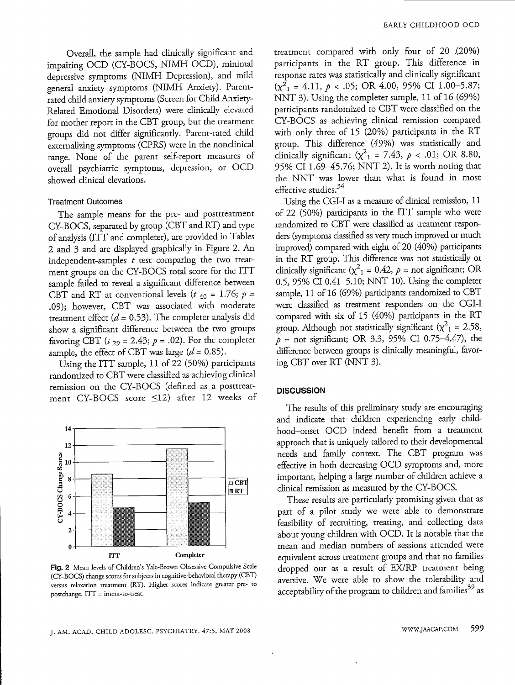Overall, the sample had clinically significant and impairing OCD (CY-BOCS, NIMH OCD), minimal depressive symptoms (NIMH Depression), and mild general anxiety symptoms (NIMH Anxiety). Parentrated child anxiety symptoms (Screen for Child Anxiety-Related Emotional Disorders) were clinically elevated for mother report in the CBT group, but the treatment groups did not differ significantly. Parent-rated child externalizing symptoms (CPRS) were in the nonclinical range. None of the parent self-report measures of overall psychiatric symptoms, depression, or OCD showed clinical elevations.

#### Treatment Outcomes

The sample means for the pre- and posttreatment CY-BOCS, separated by group (CBT and RT) and type of analysis (ITT and completer), are provided in Tables 2 and 3 and are displayed graphically in Figure 2. An independent-samples  $t$  test comparing the two treatment groups on the CY-BOCS total score for the ITT sample failed to reveal a significant difference between CBT and RT at conventional levels ( $t_{40}$  = 1.76;  $p =$ .09); however, CBT was associated with moderate treatment effect  $(d = 0.53)$ . The completer analysis did show a significant difference between the two groups favoring CBT ( $t_{29} = 2.43$ ;  $p = .02$ ). For the completer sample, the effect of CBT was large  $(d = 0.85)$ .

Using the ITT sample, 11 of 22 (50%) participants randomized to CBT were classified as achieving clinical remission on the CY-BOCS (defined as a posttreatment CY-BOCS score <12) after 12 weeks of



Fig. 2 Mean levels of Children's Yale-Brown Obsessive Compulsive Scale (CY-BOCS) change scores for subjects in cognitive-behavioral therapy (CBT) versus relaxation treatment (RT). Higher scores indicate greater pre- to postchange. ITT **=** intent-to-treat.

treatment compared with only four of 20 .(20%) participants in the RT group. This difference in response rates was statistically and clinically significant  $(\chi^2_{1} = 4.11, p < .05; \text{ OR } 4.00, 95\% \text{ CI } 1.00 - 5.87;$ NNT 3). Using the completer sample, 11 of 16 (69%) participants randomized to CBT were classified on the CY-BOCS as achieving clinical remission compared with only three of 15 (20%) participants in the RT group. This difference (49%) was statistically and clinically significant  $(\chi^2)$  = 7.43, p < .01; OR 8.80, 95% CI 1.69-45.76; NNT 2). It is worth noting that the NNT was lower than what is found in most effective studies.<sup>34</sup>

Using the CG14 as a measure of clinical remission, 11 of 22 (50%) participants in the ITT sample who were randomized to CBT were classified as treatment responders (symptoms dassified as very much improved or much improved) compared with eight of 20 (40%) participants in the RT group. This difference was not statistically or clinically significant ( $\chi^2$ <sub>1</sub> = 0.42, *p* = not significant; OR 0.5, 95% CI 0.41-5.10; NNT 10). Using the completer sample, 11 of 16 (69%) participants randomized to CBT were classified as treatment responders on the CGI-I compared with six of 15 (40%) participants in the RT group. Although not statistically significant ( $\chi^2_{1}$  = 2.58, p **=** not significant; OR 3.3, 95% CI 0.75-4.47), the difference between groups is clinically meaningful, favoring CBT over RT (NNT 3).

#### **DISCUSSION**

The results of this preliminary study are encouraging and indicate that children experiencing early childhood-onset OCD indeed benefit from a treatment approach that is uniquely tailored to their developmental needs and family context. The CBT program was effective in both decreasing OCD symptoms and, more important, helping a large number of children achieve a clinical remission as measured by the CY-BOCS.

These results are particularly promising given that as part of a pilot study we were able to demonstrate feasibility of recruiting, treating, and collecting data about young children with OCD. It is notable that the mean and median numbers of sessions attended were equivalent across treatment groups and that no families dropped out as a result of EX/RP treatment being aversive. We were able to show the tolerability and acceptability of the program to children and families<sup>39</sup> as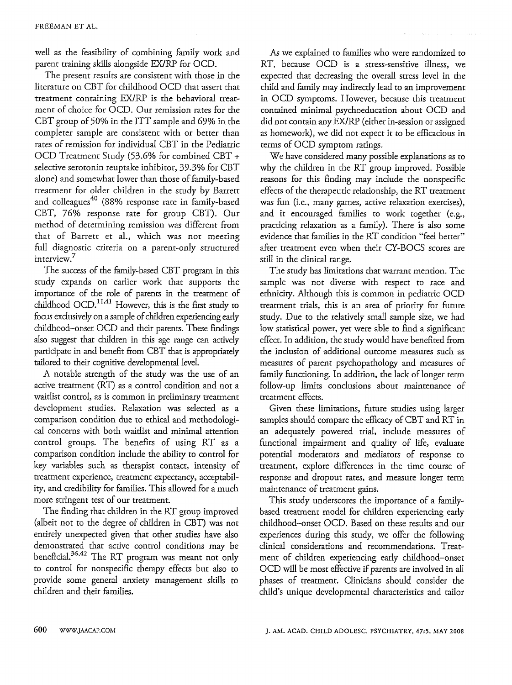well as the feasibility of combining family work and parent training skills alongside EX/RP for OCD.

The present results are consistent with those in the literature on CBT for childhood OCD that assert that treatment containing EX/RP is the behavioral treatment of choice for OCD. Our remission rates for the CBT group of 50% in the ITT sample and 69% in the completer sample are consistent with or better than rates of remission for individual CBT in the Pediatric OCD Treatment Study (53.6% for combined CBT + selective serotonin reuptake inhibitor, 39.3% for CBT alone) and somewhat lower than those of family-based treatment for older children in the study by Barrett and colleagues<sup>40</sup> (88% response rate in family-based CBT, 76% response rate for group CBT). Our method of determining remission was different from that of Barrett et al., which was not meeting full diagnostic criteria on a parent-only structured interview.<sup>7</sup>

The success of the family-based CBT program in this study expands on earlier work that supports the importance of the role of parents in the treatment of childhood OCD.<sup>11,41</sup> However, this is the first study to focus exclusively on a sample of children experiencing early childhood-onset OCD and their parents. These findings also suggest that children in this age range can actively participate in and benefit from CBT that is appropriately tailored to their cognitive developmental level.

A notable strength of the study was the use of an active treatment (RT) as a control condition and not a waidist control, as is common in preliminary treatment development studies. Relaxation was selected as a comparison condition due to ethical and methodological concerns with both waitlist and minimal attention control groups. The benefits of using RT as a comparison condition include the ability to control for key variables such as therapist contact, intensity of treatment experience, treatment expectancy, acceptability, and credibility for families. This allowed for a much more stringent test of our treatment.

The finding that children in the RT group improved (albeit not to the degree of children in CBT) was not entirely unexpected given that other studies have also demonstrated that active control conditions may be beneficial.<sup>36,42</sup> The RT program was meant not only to control for nonspecific therapy effects but also to provide some general anxiety management skills to children and their families.

As we explained to families who were randomized to RT, because OCD is a stress-sensitive illness, we expected that decreasing the overall stress level in the child and family may indirectly lead to an improvement in OCD symptoms. However, because this treatment contained minimal psychoeducation about OCD and did not contain any EX/RP (either in-session or assigned as homework), we did not expect it to be efficacious in terms of OCD symptom ratings.

We have considered many possible explanations as to why the children in the RT group improved. Possible reasons for this finding may include the nonspecific effects of the therapeutic relationship, the RT treatment was fun (i.e., many games, active relaxation exercises), and it encouraged families to work together (e.g., practicing relaxation as a family). There is also some evidence that families in the RT condition "feel better" after treatment even when their CY-BOCS scores are still in the clinical range.

The study has limitations that warrant mention. The sample was not diverse with respect to race and ethnicity. Although this is common in pediatric OCD treatment trials, this is an area of priority for future study. Due to the relatively small sample size, we had low statistical power, yet were able to find a significant effect. In addition, the study would have benefited from the inclusion of additional outcome measures such as measures of parent psychopathology and measures of family functioning. In addition, the lack of longer term follow-up limits conclusions about maintenance of treatment effects.

Given these limitations, future studies using larger samples should compare the efficacy of CBT and RT in an adequately powered trial, include measures of functional impairment and quality of life, evaluate potential moderators and mediators of response to treatment, explore differences in the time course of response and dropout rates, and measure longer term maintenance of treatment gains.

This study underscores the importance of a familybased treatment model for children experiencing early childhood-onset OCD. Based on these results and our experiences during this study, we offer the following clinical considerations and recommendations. Treatment of children experiencing early childhood-onset OCD will be most effective if parents are involved in all phases of treatment. Clinicians should consider the child's unique developmental characteristics and tailor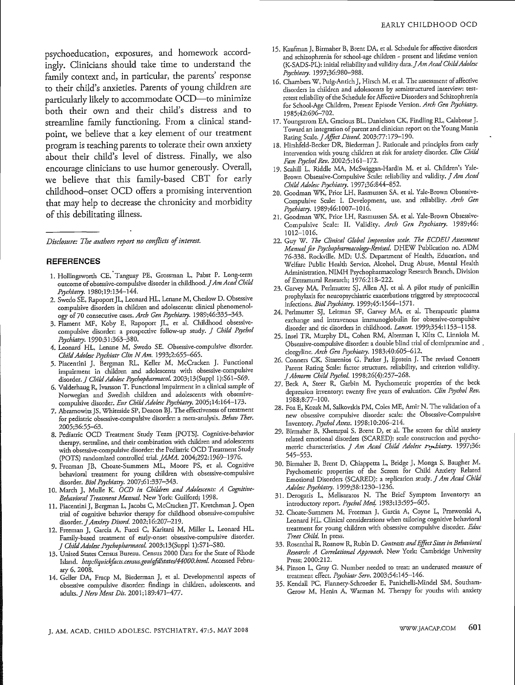psychoeducation, exposures, and homework accordingly. Clinicians should take time to understand the family context and, in particular, the parents' response to their child's anxieties. Parents of young children are particularly likely to accommodate OCD-to minimize both their own and their child's distress and to streamline family functioning. From a clinical standpoint, we believe that a key element of our treatment program is teaching parents to tolerate their own anxiety about their child's level of distress. Finally, we also encourage clinicians to use humor generously. Overall, we believe that this family-based CBT for early childhood-onset OCD offers a promising intervention that may help to decrease the chronicity and morbidity of this debilitating illness.

*Disclosure: The authors report no conflicts of interest.*

#### **REFERENCES**

- **1.** Hollingsworth **CE,** Tanguay PE, Grossman L, Pabst P. Long-term outcome of obsessive-compulsive disorder in *childhood.jAmAcad Child Psychiatry.* 1980;19:134-144.
- 2. Swedo SE, Rapoport JL, Leonard HL, Lenane M, Cheslow D. Obsessive compulsive disorders in children and adolescents: clinical phenomenology of 70 consecutive cases. *Arch Gen Psychiatry.* 1989;46:335-343.
- 3. Flament MF, Koby **E,** Rapoport JL, et al. Childhood obsessivecompulsive disorder: a prospective follow-up study. *J Child Psychol Psychiatry.* 1990:31:363-380.
- 4. Leonard HL, Lenane M, Swedo SE. Obsessive-compulsive disorder. *ChildAdolesc Psychiatr Clin NAm.* 1993;2:655-665.
- 5. Piacentini J, Bergman RL, Keller M, McCracken J. Functional impairment in children and adolescents with obsessive-compulsive disorder. *J Child Adolesc Psychopharmacol*. 2003;13(Suppl 1):S61-S69.
- 6. Valderhaug R, Ivarsson T. Functional impairment in a clinical sample of Norwegian and Swedish children and adolescents with obsessivecompulsive disorder. *Eur ChildAdolesc Psychiatry.* 2005;14:164-173.
- Abramowitz JS, Whiteside SP, Deacon BJ. The effectiveness of treatment for pediatric obsessive-compulsive disorder: a meta-analysis. *Behav Ther.* 2005;36:55-63.
- 8. Pediatric OCD Treatment Study Team [POTS]. Cognitive-behavior therapy, sertraline, and their combination with children and adolescents with obsessive-compulsive disorder: the Pediatric OCD Treatment Study (POTS) randomized controlled trial.JAMA. 2004;292:1969-1976.
- 9. Freeman JB, Choate-Summers ML, Moore PS, et al. Cognitive behavioral treatment for young children with obsessive-compulsive disorder. *Biol Psychiatry.* 2007;61:337-343.
- 10. March J, Mulle K. *OCD in Children and Adolescents: A Cognitive-Behavioral Treatment Manual.* New York: Guilford; 1998.
- 11. Piacentini J, Bergman L, Jacobs C, McCracken JT, Kretchman J. Open trial of cognitive behavior therapy for childhood obsessive-compulsive disorder. *JAnxieVy Disord.* 2002: 16:207-219.
- 12. Freeman J, Garcia A, Fucei C, Karitani M, Miller L, Leonard HL. Family-based treatment of early-onset obsessive-compulsive disorder. *J ChildAdolesc'Psychopharmacol.* 2003;13(Suppl 1):S71-S80.
- 13. United States Census Bureau. Census 2000 Data for the State of Rhode Island. *http://quickfacts.centsus.govlqfdlstatesl44000.htsnL* Accessed February 6, 2008.
- 14. Geller DA, Fracp M, Biederman **J,** et al. Developmental aspects of obsessive compulsive disorder: findings in children, adolescents, and adults. *JNerv Ment Dis.* 2001;189:471-477.
- 15. Kaufman J, Birmaher B, Brent DA, et al. Schedule for affective disorders and schizophrenia for school-age children **-** present and lifetime version (K-SADS-PL): initial reliability and validity data. *jAmAcad ChildAdolesc Psychiatry.* 1997;36:980-988.
- 16. Chambers W, Puig-Antich **J,** Hirsch M, et al. The assessment of affective disorders in children and adolescents by semistructured interview: testretest reliability of the Schedule for Affective Disorders and Schizophrenia for School-Age Children, Present Episode Version. *Arch Gen Psychiatry.* 1985;42:696-702.
- 17. Youngstrom EA, Gracious BL, Danielson CK, Findling RL, Calabrese J. Toward an integration of parent and clinician report on the Young Mania Rating *Scale.jAffect Disord.* 2003;77:179-190.
- 18. Hirshfeld-Becker DR, Biederman **J.** Rationale and principles from early intervention with young children at risk for anxiety disorder. *Clin Child Farn Psychol Rev.* 2002;5:161-172.
- 19. Scahill L, Riddle MA, McSwiggan-Hardin M, et al. Children's Yale-Brown Obsessive-Compulsive Scale: reliability and validity. *JAm Acad ChildAAdolesc Psychiatry.* 1997;36:844-852.
- 20. Goodman WK, Price LH, Rasmussen SA, et al. Yale-Brown Obsessive-Compulsive Scale: I. Development, use, and reliability. *Arch Gen Psychiatry.* 1989;46:1007-1016.
- 21. Goodman WK, Price LH, Rasmussen SA, et al. Yale-Brown Obsessive-Compulsive Scale: **I.** Validity. *Arch Gen Psychiatry.* 1989;46: 1012-1016.
- 22. Guy W. *The Clinical Global Impression scale. The ECDEU Assessment Manual for Psychopharmacology-Revised.* DHEW Publication no. ADM 76-338. Rockville, MD: U.S. Department of Health, Education, and Welfare Public Health Service, Alcohol, Drug Abuse, Mental Health Administration, NIMH Psychopharmacology Research Branch, Division of Extramural Research; 1976:218-222.
- 23. Garvey MA, Perlmutter SJ, Allen **AJ,** et al. A pilot study of penicillin prophylaxis for neuropsychiatric exacerbations triggered by streptococcal infections. *Biol Psychiatry.* 1999;45:1564-1571.
- 24. Perlmutter SJ, Leitman SF, Garvey MA, et al. Therapeutic plasma exchange and intravenous immunoglobulin for obsessive-compulsive disorder and tic disorders in childhood. *Lancet.* 1999;354:1153-1158.
- 25. Insel TR, Murphy DL, Cohen RM, Alterman I, Kilts C, Linniola M. Obsessive-compulsive disorder: a double blind trial of clomipramine and **.** clorgyline. *Arch Gen Psychiatry.* 1983;40:605-612.
- 26. Conners CK, Sitarenios **G,** Parker J, Epstein J. The revised Conners Parent Rating Scale: factor structure, reliability, and criterion validity. *JAbnorm Child Psychol.* 1998;26(4):257-268.
- 27. Beck A, Steer R, Garbin M. Psychometric properties of the beck depression inventory: twenty five years of evaluation. *Clin Psychol Rev.* 1988;8:77-100.
- 28. Foa E, Kozak M, Salkovskis PM, Coles ME, Amir N. The validation of a new obsessive compulsive disorder scale: the Obsessive-Compulsive Inventory. *PsycholAssess.* 1998;10:206-214.
- 29. Birmaher B, Kherarpal **S,** Brent D, er al. The screen for child anxiety related emotional disorders (SCARED): scale construction and psychometric characteristics. *J Am Acad Child Adolesc r*<sub>27</sub>.hiatry. 1997;36: 545-553.
- 30. Birmaher B, Brent D, Chiappetta L, Bridge J, Monga **S,** Baugher M. Psychometric properties of the Screen for Child Anxiety Related Emotional Disorders (SCARED): a replication study. *J Am Acad Child Adolesc Psychiatry.* 1999;38:1230-1236.
- 31. Derogatis L, Melisaratos N. The Brief Symptom Inventory: an introductory report. Psychol Med. 1983;13:595-605.
- 32. Choate-Summers M, Freeman **J,** Garcia A, Coyne L, Przeworski A, Leonard HL. Clinical considerations when tailoring cognitive behavioral treatment for young children with obsessive compulsive disorder. *Educ Treat Child.* In press.
- 33. Rosenthal R, Rosnow R, Rubin D. *Contrasts and Effect Sizes in Behavioral Research: A Correlational Approach.* New York: Cambridge University Press; 2000:212.
- 34. Pinson L, Gray **G.** Number needed to treat: an underused measure of treatment effect. *Psychiatr Serv.* 2003;54:145-146.
- 35. Kendall PC, Flannery-Schroeder E, Panichelli-Mindel **SM,** Southam-Gerow M, Henin A, Warman M. Therapy for youths with anxiety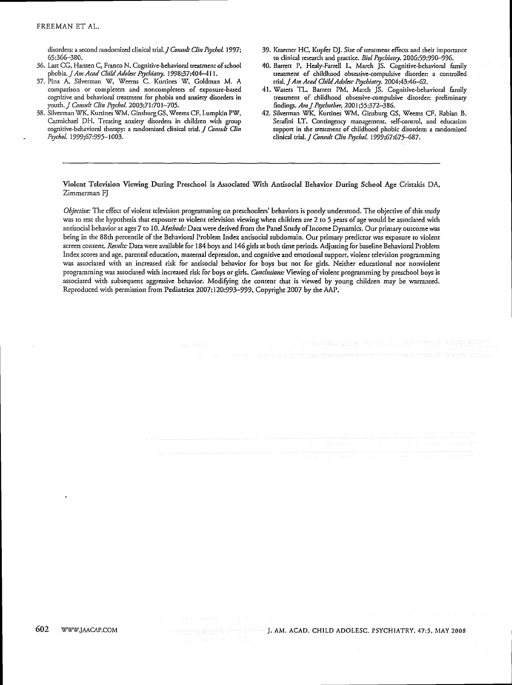disorders: a second randomized clinical trial. *J Consult Clin Psychol*. 1997; 65:366-380.

- 36. Last CG, Hansen C, Franco N. Cognitive-behavioral treatment of school phobia. *J Am Acad Child Adolesc Psychiatry*. 1998;37:404-411.
- 37. Pina A, Silverman W, Weems **C,** Kurtines **W.** Goldman M. A comparison or completers and noncomplerers of exposure-based cognitive and behavioral treatment fbr phobia and anxiety disorders in youth. *J Consult Clin Psychol.* 2003;71:701-705.
- 38. Silverman WK, Kurtines WM, Ginsburg GS, Weems **CF,** Lumpkin PW, Carmichael DH. Treating anxiety disorders in children with group cognitive-behavioral therapy: a randomized clinical trial. *J Consult Clin Pychol. 1999;67:995-1003.*
- 39. Kraemer **HC,** Kupfer DJ. Size of treatment effects and their importance to clinical research and practice. *Biol Psychiatry.* 2006;59:990-996.
- 40. Barrett P, Healy-Farrell L, March JS. Cognitive-behavioral family treatment of childhood obsessive-compulsive disorder. a controlled trial. *J Am Acad Child Adolesc Psychiatry*. 2004;43:46-62.
- 41. Waters TL, Barrett PM. March JS. Cognitive-behavioral family treatment of childhood obsessive-compulsive disorder: preliminary findings. *Amj Psychother.* 2001;55:372-386.
- 42. Silverman WK. Kurtines **NVM,** Ginsburg GS, Weems **CF,** Rabian B, Serafini LT. Contingency management, self-control, and education support in the treatment of childhood phobic disorders: a randomized clinical trial.J *Consult Clin Psycho!. 1999;67:675-687.*

Violent Television Viewing During Preschool is Associated With Antisocial Behavior During School Age Cristakis DA, Zimmerman FJ

*Objective:* The effect of violent television programming on preschoolers' behaviors is poorly understood. The objective of this study was to test the hypothesis that exposure to violent television viewing when children are 2 to 5 years of age would be associated with antisocial behavior at ages 7 to 10. *Afethods:* Data were derived from the Panel Study of Income Dynamics. Our primary outcome was being in the 88th percentile of the Behavioral Problem Index antisocial subdomain. Our primary predictor was exposure to violent screen content. *Results:* Data were available for 184 boys and 146 girls at both time periods. Adjusting for baseline Behavioral Problem Index scores and age, parental education, maternal depression, and cognitive and emotional support, violent television programming was associated with an increased risk fbr antisocial behavior for boys but not for girls. Neither educational nor nonviolent programming was associated with increased risk for boys or girls. *Conclusions:* Viewing of violent programming by preschool boys is associated with subsequent aggressive behavior. Modifying the content that is viewed by young children may be warranted. Reproduced with permission from Pediatrics 2007:120:993-999, Copyright 2007 by the AAP.